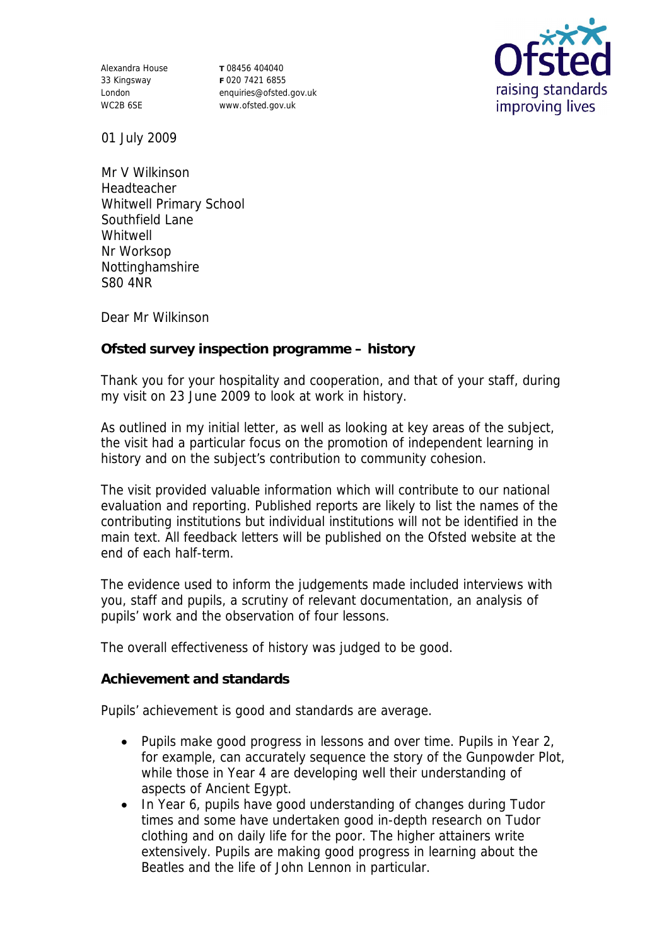Alexandra House 33 Kingsway London WC2B 6SE

**T** 08456 404040 **F** 020 7421 6855 enquiries@ofsted.gov.uk www.ofsted.gov.uk



01 July 2009

Mr V Wilkinson Headteacher Whitwell Primary School Southfield Lane Whitwell Nr Worksop Nottinghamshire S80 4NR

Dear Mr Wilkinson

**Ofsted survey inspection programme – history**

Thank you for your hospitality and cooperation, and that of your staff, during my visit on 23 June 2009 to look at work in history.

As outlined in my initial letter, as well as looking at key areas of the subject, the visit had a particular focus on the promotion of independent learning in history and on the subject's contribution to community cohesion.

The visit provided valuable information which will contribute to our national evaluation and reporting. Published reports are likely to list the names of the contributing institutions but individual institutions will not be identified in the main text. All feedback letters will be published on the Ofsted website at the end of each half-term.

The evidence used to inform the judgements made included interviews with you, staff and pupils, a scrutiny of relevant documentation, an analysis of pupils' work and the observation of four lessons.

The overall effectiveness of history was judged to be good.

**Achievement and standards** 

Pupils' achievement is good and standards are average.

- Pupils make good progress in lessons and over time. Pupils in Year 2, for example, can accurately sequence the story of the Gunpowder Plot, while those in Year 4 are developing well their understanding of aspects of Ancient Egypt.
- In Year 6, pupils have good understanding of changes during Tudor times and some have undertaken good in-depth research on Tudor clothing and on daily life for the poor. The higher attainers write extensively. Pupils are making good progress in learning about the Beatles and the life of John Lennon in particular.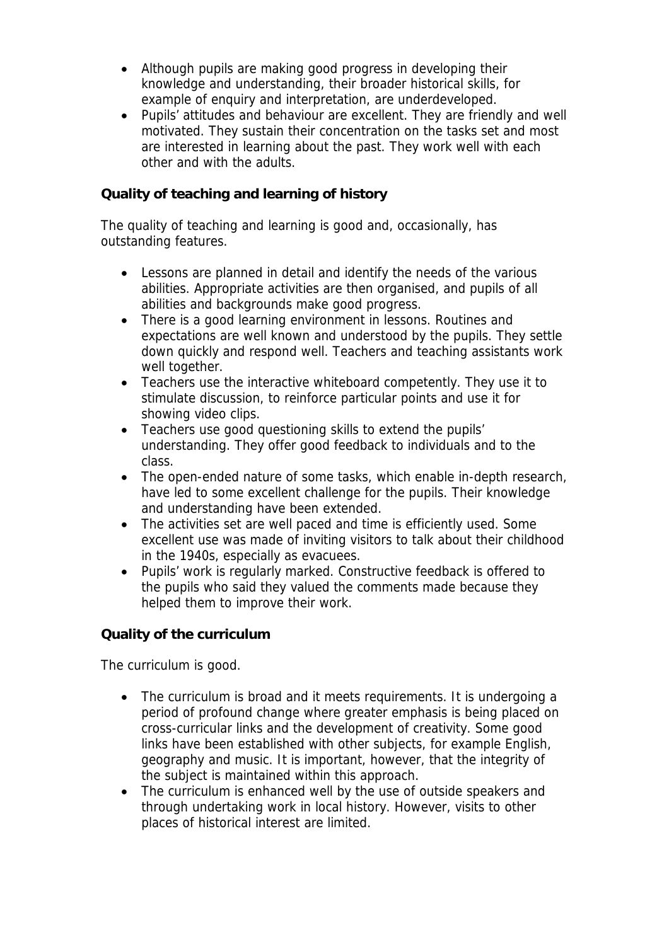- Although pupils are making good progress in developing their knowledge and understanding, their broader historical skills, for example of enquiry and interpretation, are underdeveloped.
- Pupils' attitudes and behaviour are excellent. They are friendly and well motivated. They sustain their concentration on the tasks set and most are interested in learning about the past. They work well with each other and with the adults.

## **Quality of teaching and learning of history**

The quality of teaching and learning is good and, occasionally, has outstanding features.

- Lessons are planned in detail and identify the needs of the various abilities. Appropriate activities are then organised, and pupils of all abilities and backgrounds make good progress.
- There is a good learning environment in lessons. Routines and expectations are well known and understood by the pupils. They settle down quickly and respond well. Teachers and teaching assistants work well together.
- Teachers use the interactive whiteboard competently. They use it to stimulate discussion, to reinforce particular points and use it for showing video clips.
- Teachers use good questioning skills to extend the pupils' understanding. They offer good feedback to individuals and to the class.
- The open-ended nature of some tasks, which enable in-depth research, have led to some excellent challenge for the pupils. Their knowledge and understanding have been extended.
- The activities set are well paced and time is efficiently used. Some excellent use was made of inviting visitors to talk about their childhood in the 1940s, especially as evacuees.
- Pupils' work is regularly marked. Constructive feedback is offered to the pupils who said they valued the comments made because they helped them to improve their work.

**Quality of the curriculum** 

The curriculum is good.

- The curriculum is broad and it meets requirements. It is undergoing a period of profound change where greater emphasis is being placed on cross-curricular links and the development of creativity. Some good links have been established with other subjects, for example English, geography and music. It is important, however, that the integrity of the subject is maintained within this approach.
- The curriculum is enhanced well by the use of outside speakers and through undertaking work in local history. However, visits to other places of historical interest are limited.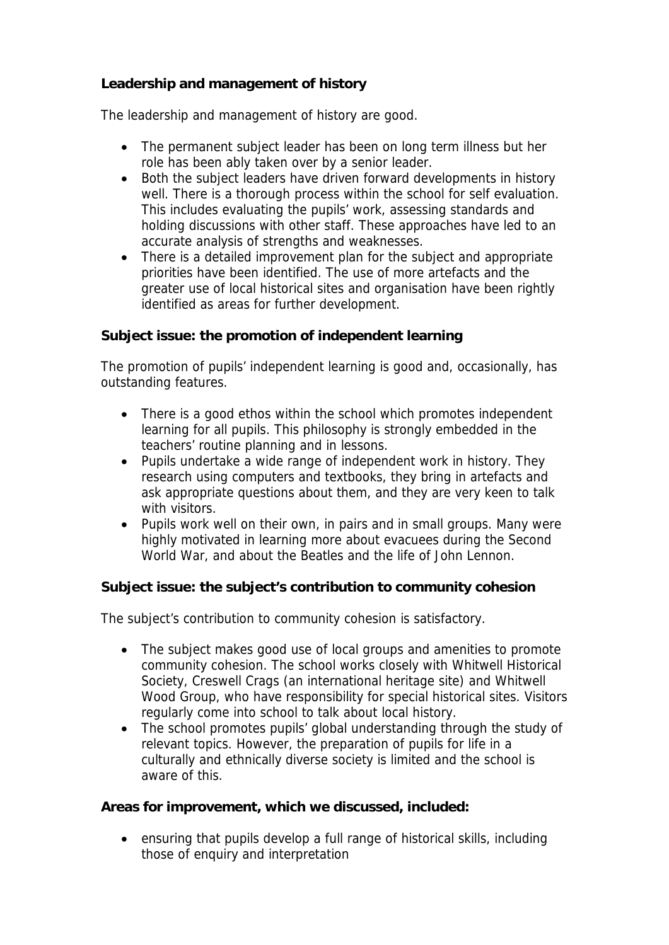## **Leadership and management of history**

The leadership and management of history are good.

- The permanent subject leader has been on long term illness but her role has been ably taken over by a senior leader.
- Both the subject leaders have driven forward developments in history well. There is a thorough process within the school for self evaluation. This includes evaluating the pupils' work, assessing standards and holding discussions with other staff. These approaches have led to an accurate analysis of strengths and weaknesses.
- There is a detailed improvement plan for the subject and appropriate priorities have been identified. The use of more artefacts and the greater use of local historical sites and organisation have been rightly identified as areas for further development.

**Subject issue: the promotion of independent learning**

The promotion of pupils' independent learning is good and, occasionally, has outstanding features.

- There is a good ethos within the school which promotes independent learning for all pupils. This philosophy is strongly embedded in the teachers' routine planning and in lessons.
- Pupils undertake a wide range of independent work in history. They research using computers and textbooks, they bring in artefacts and ask appropriate questions about them, and they are very keen to talk with visitors.
- Pupils work well on their own, in pairs and in small groups. Many were highly motivated in learning more about evacuees during the Second World War, and about the Beatles and the life of John Lennon.

**Subject issue: the subject's contribution to community cohesion** 

The subject's contribution to community cohesion is satisfactory.

- The subject makes good use of local groups and amenities to promote community cohesion. The school works closely with Whitwell Historical Society, Creswell Crags (an international heritage site) and Whitwell Wood Group, who have responsibility for special historical sites. Visitors regularly come into school to talk about local history.
- The school promotes pupils' global understanding through the study of relevant topics. However, the preparation of pupils for life in a culturally and ethnically diverse society is limited and the school is aware of this.

**Areas for improvement, which we discussed, included:**

 ensuring that pupils develop a full range of historical skills, including those of enquiry and interpretation